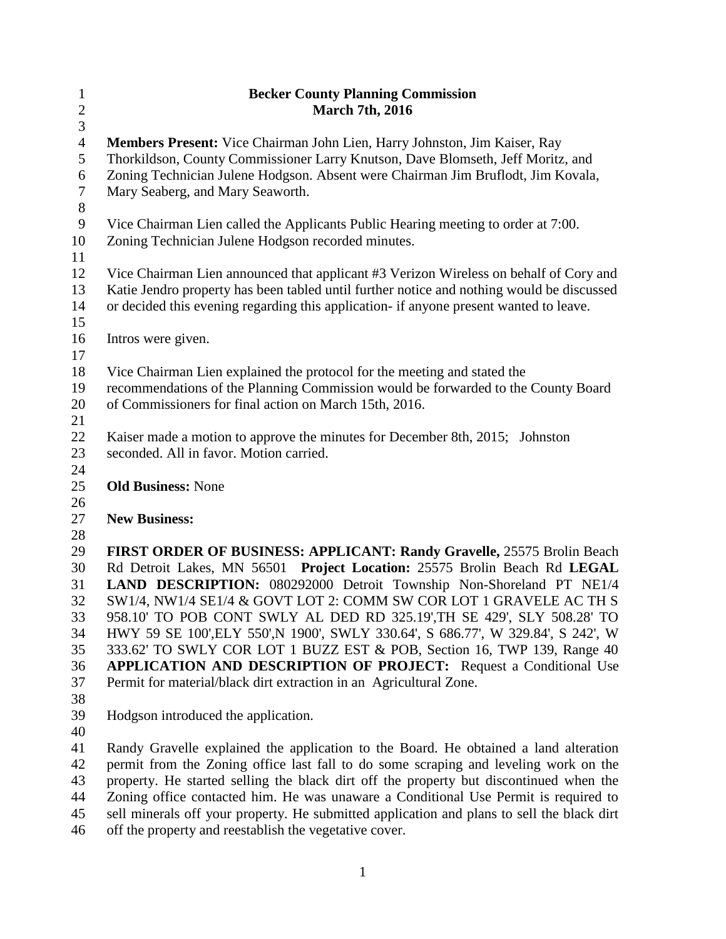| $\mathbf{1}$<br>$\overline{c}$ | <b>Becker County Planning Commission</b><br><b>March 7th, 2016</b>                                                                                                  |
|--------------------------------|---------------------------------------------------------------------------------------------------------------------------------------------------------------------|
| $\mathfrak{Z}$                 |                                                                                                                                                                     |
| $\overline{4}$                 | Members Present: Vice Chairman John Lien, Harry Johnston, Jim Kaiser, Ray                                                                                           |
| 5<br>6                         | Thorkildson, County Commissioner Larry Knutson, Dave Blomseth, Jeff Moritz, and<br>Zoning Technician Julene Hodgson. Absent were Chairman Jim Bruflodt, Jim Kovala, |
| $\tau$                         | Mary Seaberg, and Mary Seaworth.                                                                                                                                    |
| $8\,$                          |                                                                                                                                                                     |
| $\overline{9}$                 | Vice Chairman Lien called the Applicants Public Hearing meeting to order at 7:00.                                                                                   |
| 10                             | Zoning Technician Julene Hodgson recorded minutes.                                                                                                                  |
| 11                             |                                                                                                                                                                     |
| 12                             | Vice Chairman Lien announced that applicant #3 Verizon Wireless on behalf of Cory and                                                                               |
| 13                             | Katie Jendro property has been tabled until further notice and nothing would be discussed                                                                           |
| 14                             | or decided this evening regarding this application- if anyone present wanted to leave.                                                                              |
| 15                             |                                                                                                                                                                     |
| 16                             | Intros were given.                                                                                                                                                  |
| 17                             |                                                                                                                                                                     |
| 18                             | Vice Chairman Lien explained the protocol for the meeting and stated the                                                                                            |
| 19                             | recommendations of the Planning Commission would be forwarded to the County Board                                                                                   |
| 20                             | of Commissioners for final action on March 15th, 2016.                                                                                                              |
| 21                             |                                                                                                                                                                     |
| 22                             | Kaiser made a motion to approve the minutes for December 8th, 2015; Johnston                                                                                        |
| 23                             | seconded. All in favor. Motion carried.                                                                                                                             |
| 24                             |                                                                                                                                                                     |
| 25                             | <b>Old Business: None</b>                                                                                                                                           |
| 26<br>27                       | <b>New Business:</b>                                                                                                                                                |
| 28                             |                                                                                                                                                                     |
| 29                             | FIRST ORDER OF BUSINESS: APPLICANT: Randy Gravelle, 25575 Brolin Beach                                                                                              |
| 30                             | Rd Detroit Lakes, MN 56501 Project Location: 25575 Brolin Beach Rd LEGAL                                                                                            |
| 31                             | LAND DESCRIPTION: 080292000 Detroit Township Non-Shoreland PT NE1/4                                                                                                 |
| 32                             | SW1/4, NW1/4 SE1/4 & GOVT LOT 2: COMM SW COR LOT 1 GRAVELE AC TH S                                                                                                  |
| 33                             | 958.10' TO POB CONT SWLY AL DED RD 325.19', TH SE 429', SLY 508.28' TO                                                                                              |
| 34                             | HWY 59 SE 100', ELY 550', N 1900', SWLY 330.64', S 686.77', W 329.84', S 242', W                                                                                    |
| 35                             | 333.62' TO SWLY COR LOT 1 BUZZ EST & POB, Section 16, TWP 139, Range 40                                                                                             |
| 36                             | <b>APPLICATION AND DESCRIPTION OF PROJECT:</b> Request a Conditional Use                                                                                            |
| 37                             | Permit for material/black dirt extraction in an Agricultural Zone.                                                                                                  |
| 38                             |                                                                                                                                                                     |
| 39                             | Hodgson introduced the application.                                                                                                                                 |
| 40                             |                                                                                                                                                                     |
| 41                             | Randy Gravelle explained the application to the Board. He obtained a land alteration                                                                                |
| 42                             | permit from the Zoning office last fall to do some scraping and leveling work on the                                                                                |
| 43                             | property. He started selling the black dirt off the property but discontinued when the                                                                              |
| 44                             | Zoning office contacted him. He was unaware a Conditional Use Permit is required to                                                                                 |

- sell minerals off your property. He submitted application and plans to sell the black dirt
- off the property and reestablish the vegetative cover.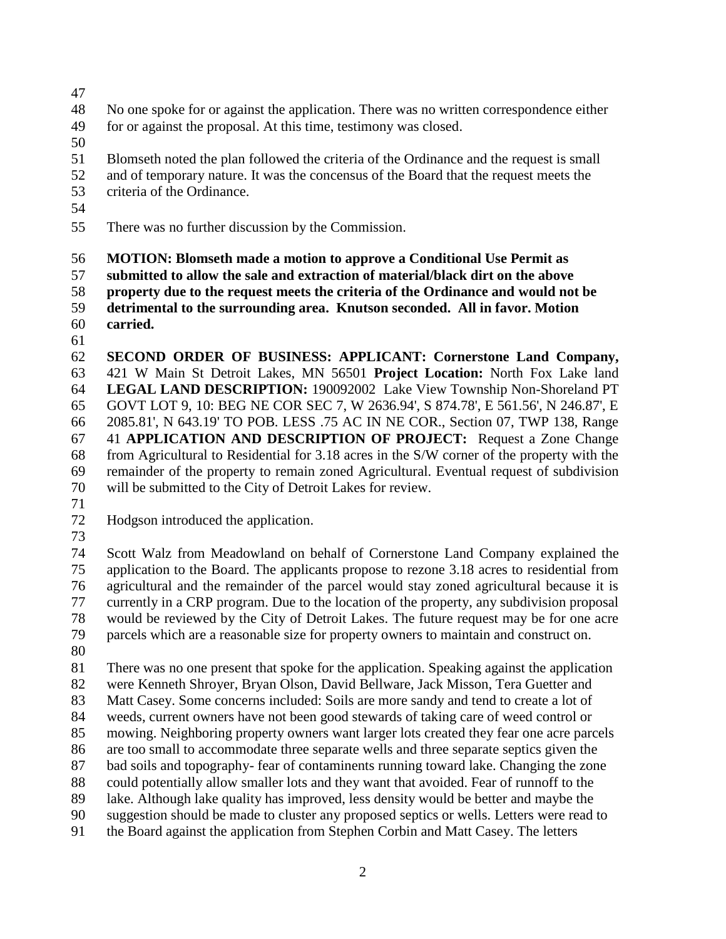- 
- No one spoke for or against the application. There was no written correspondence either for or against the proposal. At this time, testimony was closed.
- 
- Blomseth noted the plan followed the criteria of the Ordinance and the request is small
- and of temporary nature. It was the concensus of the Board that the request meets the criteria of the Ordinance.
- 
- 
- There was no further discussion by the Commission.
- **MOTION: Blomseth made a motion to approve a Conditional Use Permit as**
- **submitted to allow the sale and extraction of material/black dirt on the above**
- **property due to the request meets the criteria of the Ordinance and would not be**
- **detrimental to the surrounding area. Knutson seconded. All in favor. Motion carried.**
- 
- **SECOND ORDER OF BUSINESS: APPLICANT: Cornerstone Land Company,**  421 W Main St Detroit Lakes, MN 56501 **Project Location:** North Fox Lake land **LEGAL LAND DESCRIPTION:** 190092002 Lake View Township Non-Shoreland PT GOVT LOT 9, 10: BEG NE COR SEC 7, W 2636.94', S 874.78', E 561.56', N 246.87', E 2085.81', N 643.19' TO POB. LESS .75 AC IN NE COR., Section 07, TWP 138, Range 41 **APPLICATION AND DESCRIPTION OF PROJECT:** Request a Zone Change from Agricultural to Residential for 3.18 acres in the S/W corner of the property with the remainder of the property to remain zoned Agricultural. Eventual request of subdivision will be submitted to the City of Detroit Lakes for review.
- 
- Hodgson introduced the application.
- 

 Scott Walz from Meadowland on behalf of Cornerstone Land Company explained the application to the Board. The applicants propose to rezone 3.18 acres to residential from agricultural and the remainder of the parcel would stay zoned agricultural because it is currently in a CRP program. Due to the location of the property, any subdivision proposal would be reviewed by the City of Detroit Lakes. The future request may be for one acre parcels which are a reasonable size for property owners to maintain and construct on.

 There was no one present that spoke for the application. Speaking against the application were Kenneth Shroyer, Bryan Olson, David Bellware, Jack Misson, Tera Guetter and Matt Casey. Some concerns included: Soils are more sandy and tend to create a lot of weeds, current owners have not been good stewards of taking care of weed control or mowing. Neighboring property owners want larger lots created they fear one acre parcels are too small to accommodate three separate wells and three separate septics given the bad soils and topography- fear of contaminents running toward lake. Changing the zone could potentially allow smaller lots and they want that avoided. Fear of runnoff to the lake. Although lake quality has improved, less density would be better and maybe the suggestion should be made to cluster any proposed septics or wells. Letters were read to the Board against the application from Stephen Corbin and Matt Casey. The letters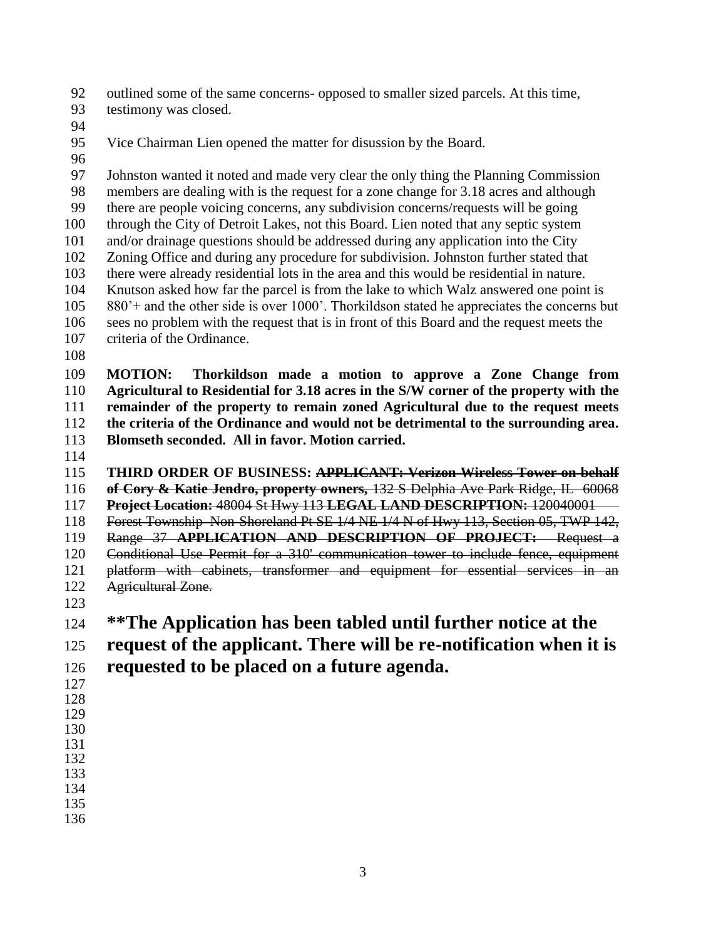outlined some of the same concerns- opposed to smaller sized parcels. At this time,

- testimony was closed.
- 
- Vice Chairman Lien opened the matter for disussion by the Board.
- 

 Johnston wanted it noted and made very clear the only thing the Planning Commission members are dealing with is the request for a zone change for 3.18 acres and although there are people voicing concerns, any subdivision concerns/requests will be going through the City of Detroit Lakes, not this Board. Lien noted that any septic system and/or drainage questions should be addressed during any application into the City Zoning Office and during any procedure for subdivision. Johnston further stated that there were already residential lots in the area and this would be residential in nature. Knutson asked how far the parcel is from the lake to which Walz answered one point is 880'+ and the other side is over 1000'. Thorkildson stated he appreciates the concerns but sees no problem with the request that is in front of this Board and the request meets the criteria of the Ordinance.

 **MOTION: Thorkildson made a motion to approve a Zone Change from Agricultural to Residential for 3.18 acres in the S/W corner of the property with the remainder of the property to remain zoned Agricultural due to the request meets the criteria of the Ordinance and would not be detrimental to the surrounding area. Blomseth seconded. All in favor. Motion carried.** 

 **THIRD ORDER OF BUSINESS: APPLICANT: Verizon Wireless Tower on behalf of Cory & Katie Jendro, property owners,** 132 S Delphia Ave Park Ridge, IL 60068 **Project Location:** 48004 St Hwy 113 **LEGAL LAND DESCRIPTION:** 120040001 Forest Township Non-Shoreland Pt SE 1/4 NE 1/4 N of Hwy 113, Section 05, TWP 142, Range 37 **APPLICATION AND DESCRIPTION OF PROJECT:** Request a Conditional Use Permit for a 310' communication tower to include fence, equipment

platform with cabinets, transformer and equipment for essential services in an

- Agricultural Zone.
- 

# **\*\*The Application has been tabled until further notice at the**

- **request of the applicant. There will be re-notification when it is**
- **requested to be placed on a future agenda.**
- 
- 
- 
- 
- 
- 
- 
-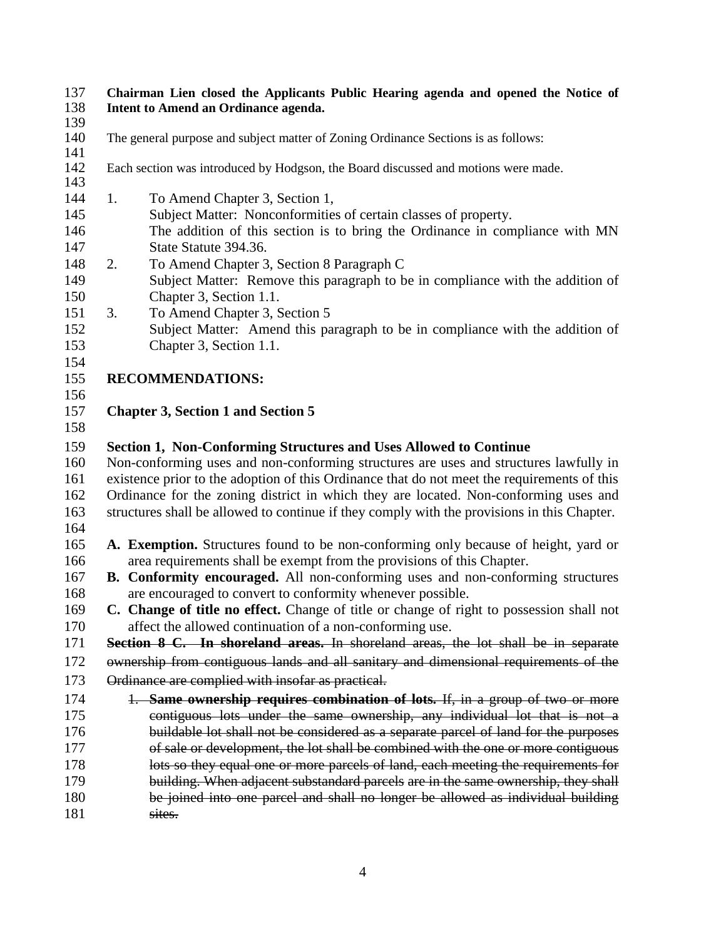#### **Chairman Lien closed the Applicants Public Hearing agenda and opened the Notice of Intent to Amend an Ordinance agenda.**

- 
- 139<br>140 The general purpose and subject matter of Zoning Ordinance Sections is as follows:
- Each section was introduced by Hodgson, the Board discussed and motions were made.
- 

- 1. To Amend Chapter 3, Section 1,
- Subject Matter: Nonconformities of certain classes of property.
- The addition of this section is to bring the Ordinance in compliance with MN State Statute 394.36.
- 2. To Amend Chapter 3, Section 8 Paragraph C
- Subject Matter: Remove this paragraph to be in compliance with the addition of Chapter 3, Section 1.1.
- 3. To Amend Chapter 3, Section 5
- Subject Matter: Amend this paragraph to be in compliance with the addition of Chapter 3, Section 1.1.
- 
- **RECOMMENDATIONS:**
- 
- **Chapter 3, Section 1 and Section 5**
- 

#### **Section 1, Non-Conforming Structures and Uses Allowed to Continue**

- Non-conforming uses and non-conforming structures are uses and structures lawfully in existence prior to the adoption of this Ordinance that do not meet the requirements of this Ordinance for the zoning district in which they are located. Non-conforming uses and structures shall be allowed to continue if they comply with the provisions in this Chapter.
- 
- **A. Exemption.** Structures found to be non-conforming only because of height, yard or area requirements shall be exempt from the provisions of this Chapter.
- **B. Conformity encouraged.** All non-conforming uses and non-conforming structures are encouraged to convert to conformity whenever possible.
- **C. Change of title no effect.** Change of title or change of right to possession shall not affect the allowed continuation of a non-conforming use.

**Section 8 C. In shoreland areas.** In shoreland areas, the lot shall be in separate

 ownership from contiguous lands and all sanitary and dimensional requirements of the 173 Ordinance are complied with insofar as practical.

 1. **Same ownership requires combination of lots.** If, in a group of two or more contiguous lots under the same ownership, any individual lot that is not a buildable lot shall not be considered as a separate parcel of land for the purposes of sale or development, the lot shall be combined with the one or more contiguous 178 lots so they equal one or more parcels of land, each meeting the requirements for building. When adjacent substandard parcels are in the same ownership, they shall 180 be joined into one parcel and shall no longer be allowed as individual building 181 sites.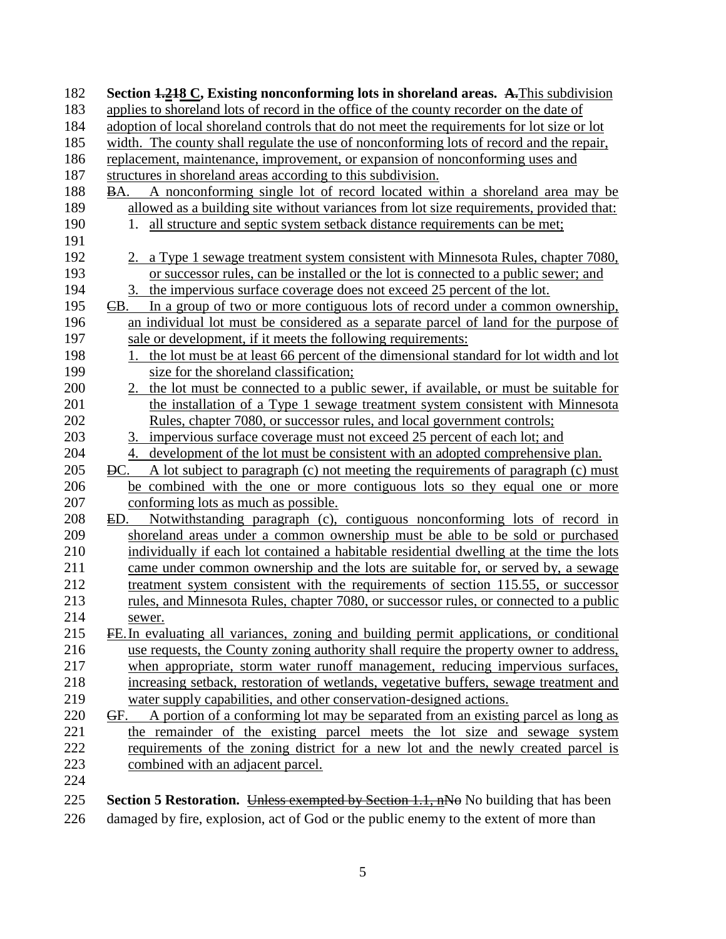| 182 | Section 1.218 C, Existing nonconforming lots in shoreland areas. A. This subdivision        |
|-----|---------------------------------------------------------------------------------------------|
| 183 | applies to shoreland lots of record in the office of the county recorder on the date of     |
| 184 | adoption of local shoreland controls that do not meet the requirements for lot size or lot  |
| 185 | width. The county shall regulate the use of nonconforming lots of record and the repair,    |
| 186 | replacement, maintenance, improvement, or expansion of nonconforming uses and               |
| 187 | structures in shoreland areas according to this subdivision.                                |
| 188 | A nonconforming single lot of record located within a shoreland area may be<br>BA.          |
| 189 | allowed as a building site without variances from lot size requirements, provided that:     |
| 190 | 1. all structure and septic system setback distance requirements can be met;                |
| 191 |                                                                                             |
| 192 | 2. a Type 1 sewage treatment system consistent with Minnesota Rules, chapter 7080,          |
| 193 | or successor rules, can be installed or the lot is connected to a public sewer; and         |
| 194 | 3. the impervious surface coverage does not exceed 25 percent of the lot.                   |
| 195 | In a group of two or more contiguous lots of record under a common ownership,<br>EB.        |
| 196 | an individual lot must be considered as a separate parcel of land for the purpose of        |
| 197 | sale or development, if it meets the following requirements:                                |
| 198 | 1. the lot must be at least 66 percent of the dimensional standard for lot width and lot    |
| 199 | size for the shoreland classification;                                                      |
| 200 | 2. the lot must be connected to a public sewer, if available, or must be suitable for       |
| 201 | the installation of a Type 1 sewage treatment system consistent with Minnesota              |
| 202 | Rules, chapter 7080, or successor rules, and local government controls;                     |
| 203 | 3. impervious surface coverage must not exceed 25 percent of each lot; and                  |
| 204 | development of the lot must be consistent with an adopted comprehensive plan.<br>4.         |
| 205 | A lot subject to paragraph (c) not meeting the requirements of paragraph (c) must<br>DC.    |
| 206 | be combined with the one or more contiguous lots so they equal one or more                  |
| 207 | conforming lots as much as possible.                                                        |
| 208 | Notwithstanding paragraph (c), contiguous nonconforming lots of record in<br>ED.            |
| 209 | shoreland areas under a common ownership must be able to be sold or purchased               |
| 210 | individually if each lot contained a habitable residential dwelling at the time the lots    |
| 211 | came under common ownership and the lots are suitable for, or served by, a sewage           |
| 212 | treatment system consistent with the requirements of section 115.55, or successor           |
| 213 | rules, and Minnesota Rules, chapter 7080, or successor rules, or connected to a public      |
| 214 | sewer.                                                                                      |
| 215 | FE. In evaluating all variances, zoning and building permit applications, or conditional    |
| 216 | use requests, the County zoning authority shall require the property owner to address,      |
| 217 | when appropriate, storm water runoff management, reducing impervious surfaces,              |
| 218 | increasing setback, restoration of wetlands, vegetative buffers, sewage treatment and       |
| 219 | water supply capabilities, and other conservation-designed actions.                         |
| 220 | A portion of a conforming lot may be separated from an existing parcel as long as<br>GF.    |
| 221 | the remainder of the existing parcel meets the lot size and sewage system                   |
| 222 | requirements of the zoning district for a new lot and the newly created parcel is           |
| 223 | combined with an adjacent parcel.                                                           |
| 224 |                                                                                             |
| 225 | <b>Section 5 Restoration.</b> Unless exempted by Section 1.1, nNo No building that has been |

damaged by fire, explosion, act of God or the public enemy to the extent of more than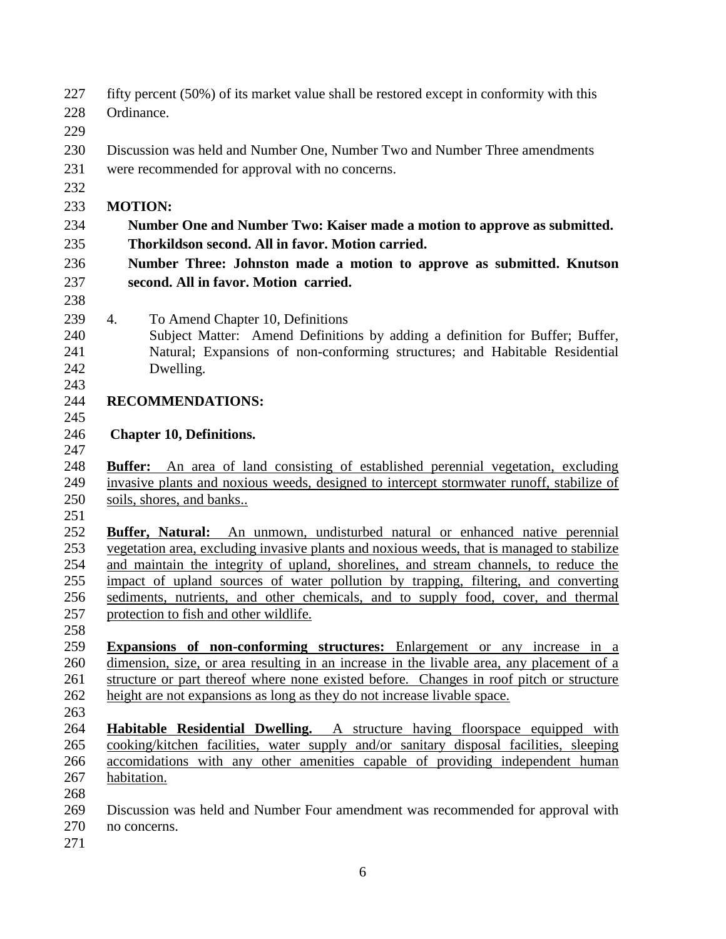- fifty percent (50%) of its market value shall be restored except in conformity with this Ordinance.
- 
- Discussion was held and Number One, Number Two and Number Three amendments
- were recommended for approval with no concerns.
- 

## **MOTION:**

- **Number One and Number Two: Kaiser made a motion to approve as submitted. Thorkildson second. All in favor. Motion carried.**
- **Number Three: Johnston made a motion to approve as submitted. Knutson second. All in favor. Motion carried.**
- 
- 4. To Amend Chapter 10, Definitions
- Subject Matter: Amend Definitions by adding a definition for Buffer; Buffer, Natural; Expansions of non-conforming structures; and Habitable Residential Dwelling.
- **RECOMMENDATIONS:**
- 

### **Chapter 10, Definitions.**

 **Buffer:** An area of land consisting of established perennial vegetation, excluding invasive plants and noxious weeds, designed to intercept stormwater runoff, stabilize of soils, shores, and banks..

 **Buffer, Natural:** An unmown, undisturbed natural or enhanced native perennial vegetation area, excluding invasive plants and noxious weeds, that is managed to stabilize and maintain the integrity of upland, shorelines, and stream channels, to reduce the impact of upland sources of water pollution by trapping, filtering, and converting sediments, nutrients, and other chemicals, and to supply food, cover, and thermal protection to fish and other wildlife.

 **Expansions of non-conforming structures:** Enlargement or any increase in a dimension, size, or area resulting in an increase in the livable area, any placement of a structure or part thereof where none existed before. Changes in roof pitch or structure height are not expansions as long as they do not increase livable space.

- 
- **Habitable Residential Dwelling.** A structure having floorspace equipped with cooking/kitchen facilities, water supply and/or sanitary disposal facilities, sleeping accomidations with any other amenities capable of providing independent human habitation.
- 

 Discussion was held and Number Four amendment was recommended for approval with no concerns.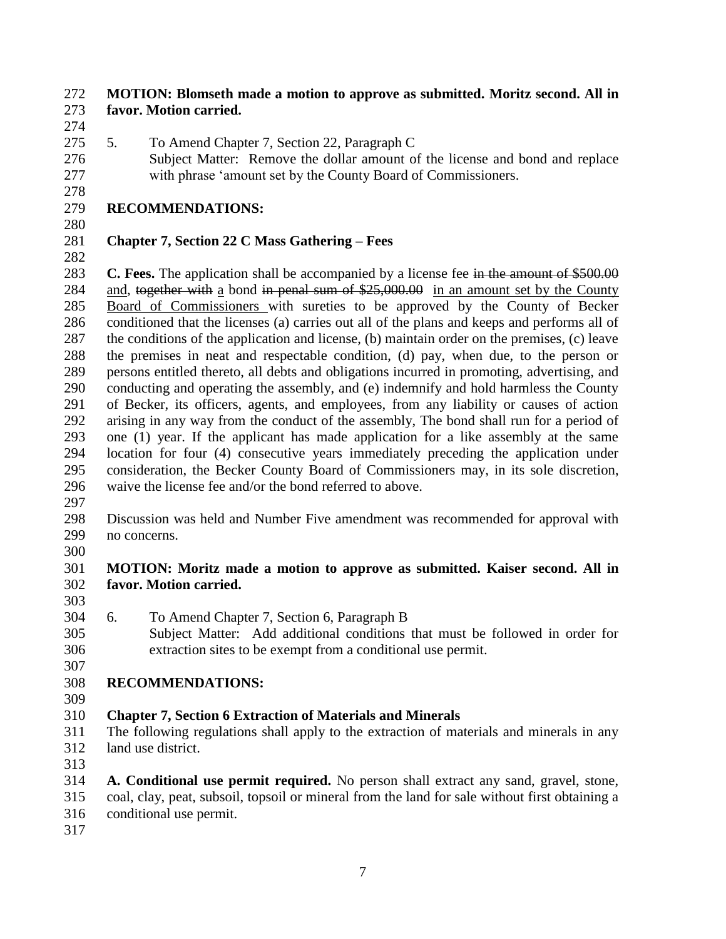#### **MOTION: Blomseth made a motion to approve as submitted. Moritz second. All in favor. Motion carried.**

- 
- 5. To Amend Chapter 7, Section 22, Paragraph C
- Subject Matter: Remove the dollar amount of the license and bond and replace with phrase 'amount set by the County Board of Commissioners.

## **RECOMMENDATIONS:**

# **Chapter 7, Section 22 C Mass Gathering – Fees**

 **C. Fees.** The application shall be accompanied by a license fee in the amount of \$500.00 284 and, to gether with a bond in penal sum of \$25,000.00 in an amount set by the County Board of Commissioners with sureties to be approved by the County of Becker conditioned that the licenses (a) carries out all of the plans and keeps and performs all of the conditions of the application and license, (b) maintain order on the premises, (c) leave the premises in neat and respectable condition, (d) pay, when due, to the person or persons entitled thereto, all debts and obligations incurred in promoting, advertising, and conducting and operating the assembly, and (e) indemnify and hold harmless the County of Becker, its officers, agents, and employees, from any liability or causes of action arising in any way from the conduct of the assembly, The bond shall run for a period of one (1) year. If the applicant has made application for a like assembly at the same location for four (4) consecutive years immediately preceding the application under consideration, the Becker County Board of Commissioners may, in its sole discretion, waive the license fee and/or the bond referred to above.

 Discussion was held and Number Five amendment was recommended for approval with no concerns.

### **MOTION: Moritz made a motion to approve as submitted. Kaiser second. All in favor. Motion carried.**

- 
- 6. To Amend Chapter 7, Section 6, Paragraph B
- Subject Matter: Add additional conditions that must be followed in order for extraction sites to be exempt from a conditional use permit.

# **RECOMMENDATIONS:**

# **Chapter 7, Section 6 Extraction of Materials and Minerals**

- The following regulations shall apply to the extraction of materials and minerals in any land use district.
- 
- **A. Conditional use permit required.** No person shall extract any sand, gravel, stone, coal, clay, peat, subsoil, topsoil or mineral from the land for sale without first obtaining a conditional use permit.
-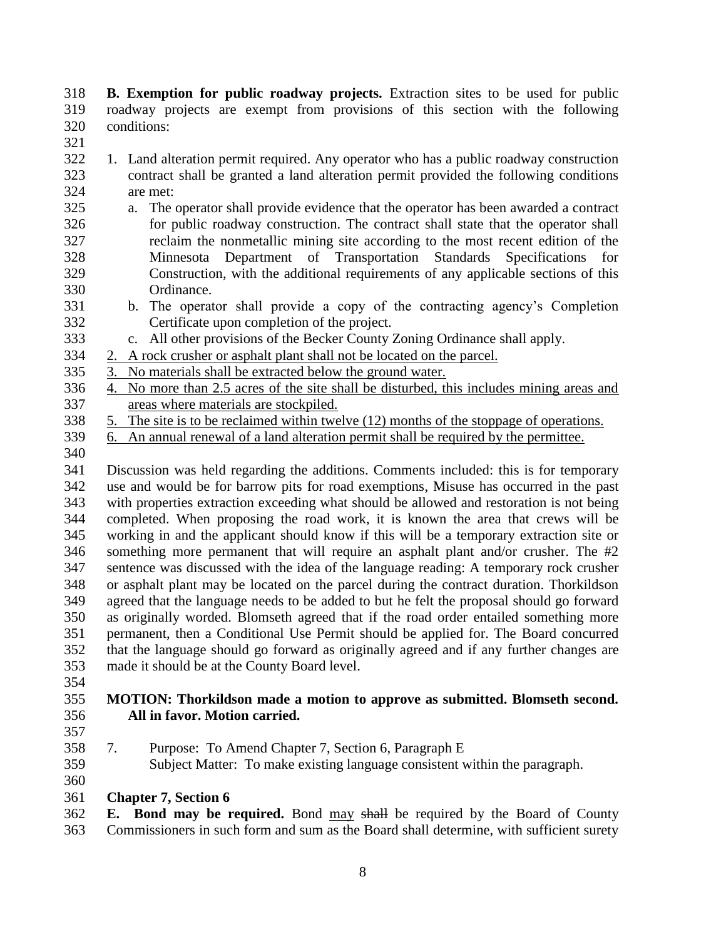**B. Exemption for public roadway projects.** Extraction sites to be used for public roadway projects are exempt from provisions of this section with the following conditions:

- 
- 1. Land alteration permit required. Any operator who has a public roadway construction contract shall be granted a land alteration permit provided the following conditions are met:
- a. The operator shall provide evidence that the operator has been awarded a contract for public roadway construction. The contract shall state that the operator shall reclaim the nonmetallic mining site according to the most recent edition of the Minnesota Department of Transportation Standards Specifications for Construction, with the additional requirements of any applicable sections of this Ordinance.
- b. The operator shall provide a copy of the contracting agency's Completion Certificate upon completion of the project.
- c. All other provisions of the Becker County Zoning Ordinance shall apply.
- 2. A rock crusher or asphalt plant shall not be located on the parcel.
- 3. No materials shall be extracted below the ground water.
- 4. No more than 2.5 acres of the site shall be disturbed, this includes mining areas and areas where materials are stockpiled.
- 5. The site is to be reclaimed within twelve (12) months of the stoppage of operations.
- 6. An annual renewal of a land alteration permit shall be required by the permittee.
- 

 Discussion was held regarding the additions. Comments included: this is for temporary use and would be for barrow pits for road exemptions, Misuse has occurred in the past with properties extraction exceeding what should be allowed and restoration is not being completed. When proposing the road work, it is known the area that crews will be working in and the applicant should know if this will be a temporary extraction site or something more permanent that will require an asphalt plant and/or crusher. The #2 sentence was discussed with the idea of the language reading: A temporary rock crusher or asphalt plant may be located on the parcel during the contract duration. Thorkildson agreed that the language needs to be added to but he felt the proposal should go forward as originally worded. Blomseth agreed that if the road order entailed something more permanent, then a Conditional Use Permit should be applied for. The Board concurred that the language should go forward as originally agreed and if any further changes are made it should be at the County Board level.

#### **MOTION: Thorkildson made a motion to approve as submitted. Blomseth second. All in favor. Motion carried.**

- 
- 7. Purpose: To Amend Chapter 7, Section 6, Paragraph E

Subject Matter: To make existing language consistent within the paragraph.

#### **Chapter 7, Section 6**

 **E. Bond may be required.** Bond may shall be required by the Board of County Commissioners in such form and sum as the Board shall determine, with sufficient surety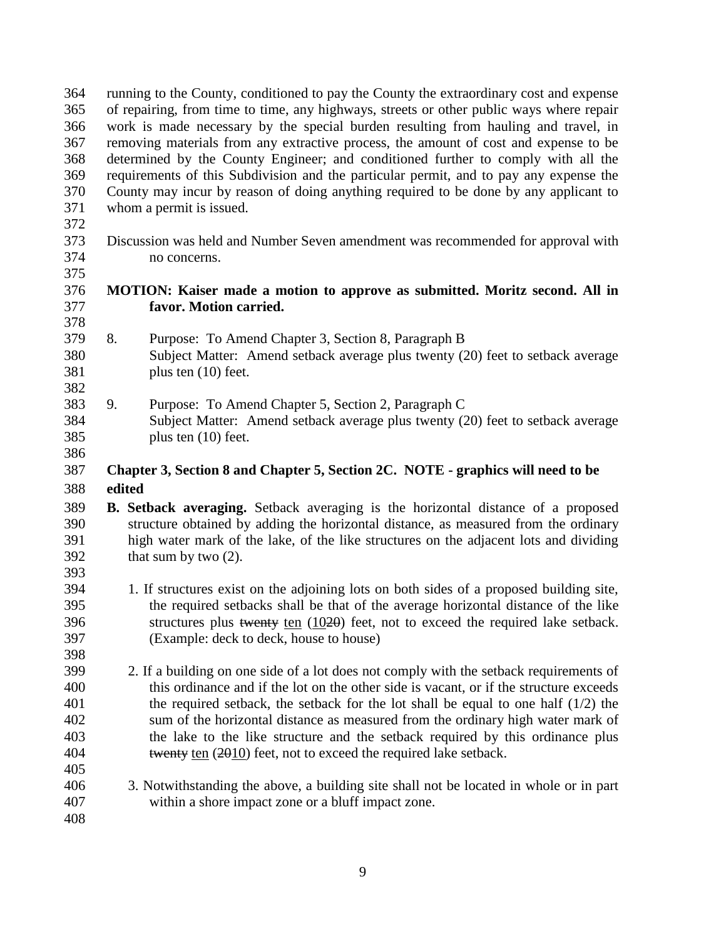running to the County, conditioned to pay the County the extraordinary cost and expense of repairing, from time to time, any highways, streets or other public ways where repair work is made necessary by the special burden resulting from hauling and travel, in removing materials from any extractive process, the amount of cost and expense to be determined by the County Engineer; and conditioned further to comply with all the requirements of this Subdivision and the particular permit, and to pay any expense the County may incur by reason of doing anything required to be done by any applicant to whom a permit is issued.

 Discussion was held and Number Seven amendment was recommended for approval with no concerns.

#### **MOTION: Kaiser made a motion to approve as submitted. Moritz second. All in favor. Motion carried.**

- 8. Purpose: To Amend Chapter 3, Section 8, Paragraph B Subject Matter: Amend setback average plus twenty (20) feet to setback average plus ten (10) feet.
- 9. Purpose: To Amend Chapter 5, Section 2, Paragraph C Subject Matter: Amend setback average plus twenty (20) feet to setback average plus ten (10) feet.
- 

#### **Chapter 3, Section 8 and Chapter 5, Section 2C. NOTE - graphics will need to be edited**

- **B. Setback averaging.** Setback averaging is the horizontal distance of a proposed structure obtained by adding the horizontal distance, as measured from the ordinary high water mark of the lake, of the like structures on the adjacent lots and dividing that sum by two (2).
- 1. If structures exist on the adjoining lots on both sides of a proposed building site, the required setbacks shall be that of the average horizontal distance of the like structures plus twenty ten (1020) feet, not to exceed the required lake setback. (Example: deck to deck, house to house)
- 2. If a building on one side of a lot does not comply with the setback requirements of this ordinance and if the lot on the other side is vacant, or if the structure exceeds the required setback, the setback for the lot shall be equal to one half (1/2) the sum of the horizontal distance as measured from the ordinary high water mark of the lake to the like structure and the setback required by this ordinance plus 404 twenty ten (2010) feet, not to exceed the required lake setback.
- 3. Notwithstanding the above, a building site shall not be located in whole or in part within a shore impact zone or a bluff impact zone.
-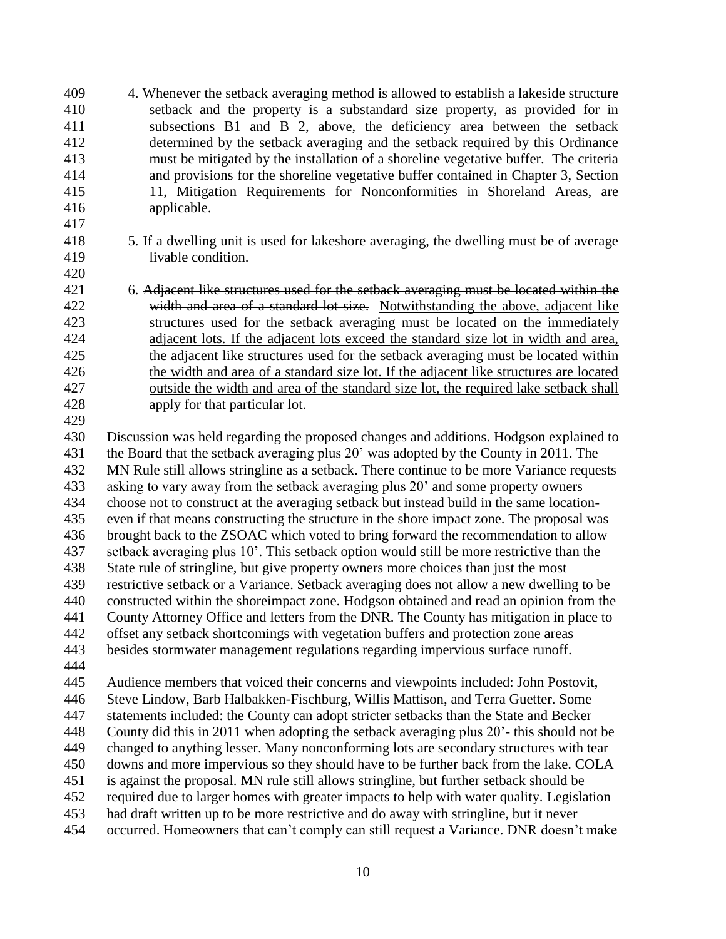- 4. Whenever the setback averaging method is allowed to establish a lakeside structure setback and the property is a substandard size property, as provided for in subsections B1 and B 2, above, the deficiency area between the setback determined by the setback averaging and the setback required by this Ordinance must be mitigated by the installation of a shoreline vegetative buffer. The criteria and provisions for the shoreline vegetative buffer contained in Chapter 3, Section 11, Mitigation Requirements for Nonconformities in Shoreland Areas, are applicable.
- 5. If a dwelling unit is used for lakeshore averaging, the dwelling must be of average livable condition.
- 6. Adjacent like structures used for the setback averaging must be located within the 422 width and area of a standard lot size. Notwithstanding the above, adjacent like structures used for the setback averaging must be located on the immediately adjacent lots. If the adjacent lots exceed the standard size lot in width and area, the adjacent like structures used for the setback averaging must be located within the width and area of a standard size lot. If the adjacent like structures are located outside the width and area of the standard size lot, the required lake setback shall apply for that particular lot.
- 

 Discussion was held regarding the proposed changes and additions. Hodgson explained to the Board that the setback averaging plus 20' was adopted by the County in 2011. The MN Rule still allows stringline as a setback. There continue to be more Variance requests asking to vary away from the setback averaging plus 20' and some property owners choose not to construct at the averaging setback but instead build in the same location- even if that means constructing the structure in the shore impact zone. The proposal was brought back to the ZSOAC which voted to bring forward the recommendation to allow setback averaging plus 10'. This setback option would still be more restrictive than the State rule of stringline, but give property owners more choices than just the most restrictive setback or a Variance. Setback averaging does not allow a new dwelling to be constructed within the shoreimpact zone. Hodgson obtained and read an opinion from the County Attorney Office and letters from the DNR. The County has mitigation in place to offset any setback shortcomings with vegetation buffers and protection zone areas besides stormwater management regulations regarding impervious surface runoff. Audience members that voiced their concerns and viewpoints included: John Postovit,

Steve Lindow, Barb Halbakken-Fischburg, Willis Mattison, and Terra Guetter. Some

statements included: the County can adopt stricter setbacks than the State and Becker

County did this in 2011 when adopting the setback averaging plus 20'- this should not be

changed to anything lesser. Many nonconforming lots are secondary structures with tear

downs and more impervious so they should have to be further back from the lake. COLA

is against the proposal. MN rule still allows stringline, but further setback should be

required due to larger homes with greater impacts to help with water quality. Legislation

had draft written up to be more restrictive and do away with stringline, but it never

occurred. Homeowners that can't comply can still request a Variance. DNR doesn't make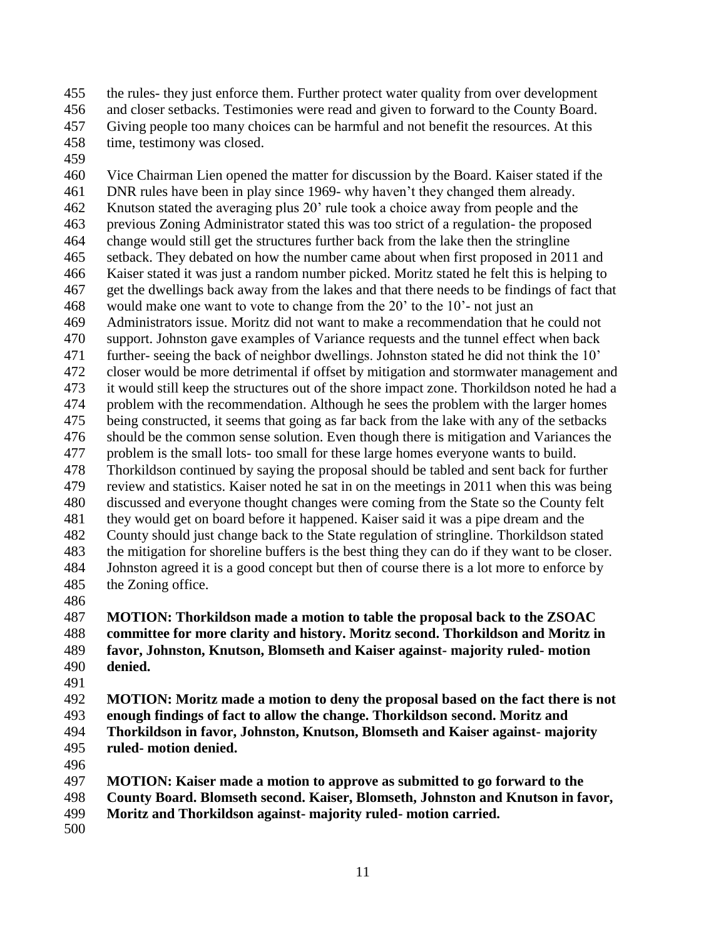the rules- they just enforce them. Further protect water quality from over development and closer setbacks. Testimonies were read and given to forward to the County Board. Giving people too many choices can be harmful and not benefit the resources. At this

- time, testimony was closed.
- 

 Vice Chairman Lien opened the matter for discussion by the Board. Kaiser stated if the DNR rules have been in play since 1969- why haven't they changed them already. Knutson stated the averaging plus 20' rule took a choice away from people and the previous Zoning Administrator stated this was too strict of a regulation- the proposed change would still get the structures further back from the lake then the stringline setback. They debated on how the number came about when first proposed in 2011 and Kaiser stated it was just a random number picked. Moritz stated he felt this is helping to get the dwellings back away from the lakes and that there needs to be findings of fact that would make one want to vote to change from the 20' to the 10'- not just an Administrators issue. Moritz did not want to make a recommendation that he could not support. Johnston gave examples of Variance requests and the tunnel effect when back further- seeing the back of neighbor dwellings. Johnston stated he did not think the 10' closer would be more detrimental if offset by mitigation and stormwater management and it would still keep the structures out of the shore impact zone. Thorkildson noted he had a problem with the recommendation. Although he sees the problem with the larger homes being constructed, it seems that going as far back from the lake with any of the setbacks should be the common sense solution. Even though there is mitigation and Variances the problem is the small lots- too small for these large homes everyone wants to build. Thorkildson continued by saying the proposal should be tabled and sent back for further review and statistics. Kaiser noted he sat in on the meetings in 2011 when this was being discussed and everyone thought changes were coming from the State so the County felt they would get on board before it happened. Kaiser said it was a pipe dream and the County should just change back to the State regulation of stringline. Thorkildson stated the mitigation for shoreline buffers is the best thing they can do if they want to be closer. Johnston agreed it is a good concept but then of course there is a lot more to enforce by the Zoning office.

 **MOTION: Thorkildson made a motion to table the proposal back to the ZSOAC committee for more clarity and history. Moritz second. Thorkildson and Moritz in favor, Johnston, Knutson, Blomseth and Kaiser against- majority ruled- motion denied.**

 **MOTION: Moritz made a motion to deny the proposal based on the fact there is not enough findings of fact to allow the change. Thorkildson second. Moritz and Thorkildson in favor, Johnston, Knutson, Blomseth and Kaiser against- majority ruled- motion denied.**

- 
- **MOTION: Kaiser made a motion to approve as submitted to go forward to the**
- **County Board. Blomseth second. Kaiser, Blomseth, Johnston and Knutson in favor,**
- **Moritz and Thorkildson against- majority ruled- motion carried.**
-